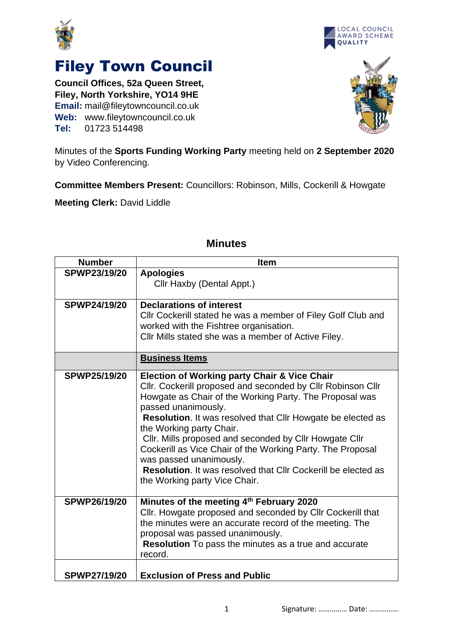



## Filey Town Council

**Council Offices, 52a Queen Street, Filey, North Yorkshire, YO14 9HE Email:** mail@fileytowncouncil.co.uk **Web:** www.fileytowncouncil.co.uk **Tel:** 01723 514498



Minutes of the **Sports Funding Working Party** meeting held on **2 September 2020** by Video Conferencing.

**Committee Members Present:** Councillors: Robinson, Mills, Cockerill & Howgate

**Meeting Clerk:** David Liddle

| <b>Number</b>       | <b>Item</b>                                                          |
|---------------------|----------------------------------------------------------------------|
| <b>SPWP23/19/20</b> | <b>Apologies</b>                                                     |
|                     | Cllr Haxby (Dental Appt.)                                            |
|                     |                                                                      |
| <b>SPWP24/19/20</b> | <b>Declarations of interest</b>                                      |
|                     | Cllr Cockerill stated he was a member of Filey Golf Club and         |
|                     | worked with the Fishtree organisation.                               |
|                     | Cllr Mills stated she was a member of Active Filey.                  |
|                     |                                                                      |
|                     | <b>Business Items</b>                                                |
| SPWP25/19/20        | <b>Election of Working party Chair &amp; Vice Chair</b>              |
|                     | Cllr. Cockerill proposed and seconded by Cllr Robinson Cllr          |
|                     | Howgate as Chair of the Working Party. The Proposal was              |
|                     | passed unanimously.                                                  |
|                     | Resolution. It was resolved that Cllr Howgate be elected as          |
|                     | the Working party Chair.                                             |
|                     | Cllr. Mills proposed and seconded by Cllr Howgate Cllr               |
|                     | Cockerill as Vice Chair of the Working Party. The Proposal           |
|                     | was passed unanimously.                                              |
|                     | <b>Resolution.</b> It was resolved that Cllr Cockerill be elected as |
|                     | the Working party Vice Chair.                                        |
|                     |                                                                      |
| SPWP26/19/20        | Minutes of the meeting 4th February 2020                             |
|                     | Cllr. Howgate proposed and seconded by Cllr Cockerill that           |
|                     | the minutes were an accurate record of the meeting. The              |
|                     | proposal was passed unanimously.                                     |
|                     | Resolution To pass the minutes as a true and accurate                |
|                     | record.                                                              |
|                     |                                                                      |
| <b>SPWP27/19/20</b> | <b>Exclusion of Press and Public</b>                                 |

## **Minutes**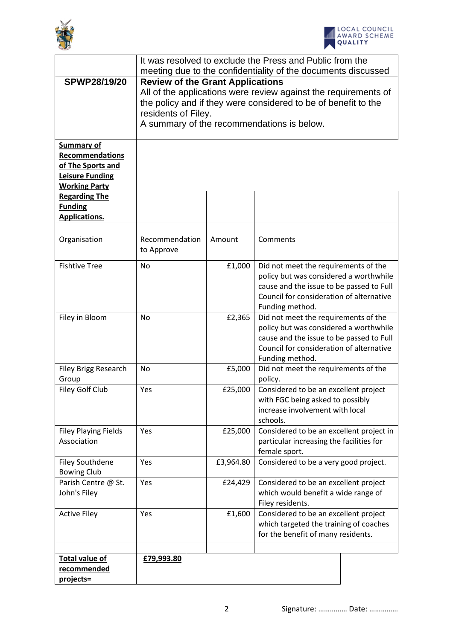



|                                                                                                                    | It was resolved to exclude the Press and Public from the                                                                                                                                                                                          |                                                                                            |           |                                                                                                                                                                                           |  |
|--------------------------------------------------------------------------------------------------------------------|---------------------------------------------------------------------------------------------------------------------------------------------------------------------------------------------------------------------------------------------------|--------------------------------------------------------------------------------------------|-----------|-------------------------------------------------------------------------------------------------------------------------------------------------------------------------------------------|--|
|                                                                                                                    | meeting due to the confidentiality of the documents discussed                                                                                                                                                                                     |                                                                                            |           |                                                                                                                                                                                           |  |
| <b>SPWP28/19/20</b>                                                                                                | <b>Review of the Grant Applications</b><br>All of the applications were review against the requirements of<br>the policy and if they were considered to be of benefit to the<br>residents of Filey.<br>A summary of the recommendations is below. |                                                                                            |           |                                                                                                                                                                                           |  |
| <b>Summary of</b><br><b>Recommendations</b><br>of The Sports and<br><b>Leisure Funding</b><br><b>Working Party</b> |                                                                                                                                                                                                                                                   |                                                                                            |           |                                                                                                                                                                                           |  |
| <b>Regarding The</b><br><b>Funding</b><br><b>Applications.</b>                                                     |                                                                                                                                                                                                                                                   |                                                                                            |           |                                                                                                                                                                                           |  |
|                                                                                                                    |                                                                                                                                                                                                                                                   |                                                                                            |           |                                                                                                                                                                                           |  |
| Organisation                                                                                                       | Recommendation<br>to Approve                                                                                                                                                                                                                      |                                                                                            | Amount    | Comments                                                                                                                                                                                  |  |
| <b>Fishtive Tree</b>                                                                                               | <b>No</b>                                                                                                                                                                                                                                         |                                                                                            | £1,000    | Did not meet the requirements of the<br>policy but was considered a worthwhile<br>cause and the issue to be passed to Full<br>Council for consideration of alternative<br>Funding method. |  |
| Filey in Bloom                                                                                                     | No                                                                                                                                                                                                                                                |                                                                                            | £2,365    | Did not meet the requirements of the<br>policy but was considered a worthwhile<br>cause and the issue to be passed to Full<br>Council for consideration of alternative<br>Funding method. |  |
| Filey Brigg Research<br>Group                                                                                      | No                                                                                                                                                                                                                                                |                                                                                            | £5,000    | Did not meet the requirements of the<br>policy.                                                                                                                                           |  |
| Filey Golf Club                                                                                                    | Yes                                                                                                                                                                                                                                               | £25,000<br>with FGC being asked to possibly<br>increase involvement with local<br>schools. |           | Considered to be an excellent project                                                                                                                                                     |  |
| <b>Filey Playing Fields</b><br>Association                                                                         | Yes                                                                                                                                                                                                                                               |                                                                                            | £25,000   | Considered to be an excellent project in<br>particular increasing the facilities for<br>female sport.                                                                                     |  |
| <b>Filey Southdene</b><br><b>Bowing Club</b>                                                                       | Yes                                                                                                                                                                                                                                               |                                                                                            | £3,964.80 | Considered to be a very good project.                                                                                                                                                     |  |
| Parish Centre @ St.<br>John's Filey                                                                                | Yes                                                                                                                                                                                                                                               |                                                                                            |           | Considered to be an excellent project<br>which would benefit a wide range of<br>Filey residents.                                                                                          |  |
| <b>Active Filey</b>                                                                                                | Yes                                                                                                                                                                                                                                               |                                                                                            | £1,600    | Considered to be an excellent project<br>which targeted the training of coaches<br>for the benefit of many residents.                                                                     |  |
|                                                                                                                    |                                                                                                                                                                                                                                                   |                                                                                            |           |                                                                                                                                                                                           |  |
| <b>Total value of</b><br>recommended<br>projects=                                                                  | £79,993.80                                                                                                                                                                                                                                        |                                                                                            |           |                                                                                                                                                                                           |  |